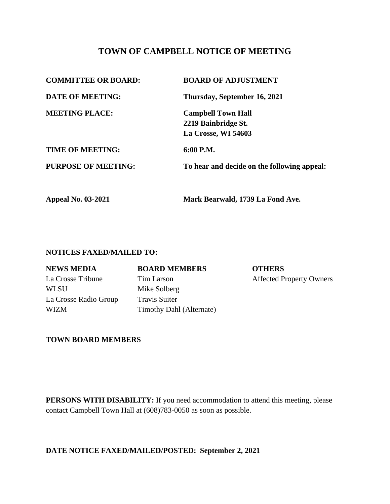# **TOWN OF CAMPBELL NOTICE OF MEETING**

| <b>COMMITTEE OR BOARD:</b><br><b>DATE OF MEETING:</b> | <b>BOARD OF ADJUSTMENT</b><br>Thursday, September 16, 2021 |
|-------------------------------------------------------|------------------------------------------------------------|
|                                                       |                                                            |
| 2219 Bainbridge St.                                   |                                                            |
| La Crosse, WI 54603                                   |                                                            |
| <b>TIME OF MEETING:</b>                               | $6:00$ P.M.                                                |
| <b>PURPOSE OF MEETING:</b>                            | To hear and decide on the following appeal:                |
| <b>Appeal No. 03-2021</b>                             | Mark Bearwald, 1739 La Fond Ave.                           |

#### **NOTICES FAXED/MAILED TO:**

WLSU Mike Solberg La Crosse Radio Group Travis Suiter

**NEWS MEDIA BOARD MEMBERS OTHERS**

WIZM Timothy Dahl (Alternate)

La Crosse Tribune Tim Larson Affected Property Owners

### **TOWN BOARD MEMBERS**

**PERSONS WITH DISABILITY:** If you need accommodation to attend this meeting, please contact Campbell Town Hall at (608)783-0050 as soon as possible.

**DATE NOTICE FAXED/MAILED/POSTED: September 2, 2021**